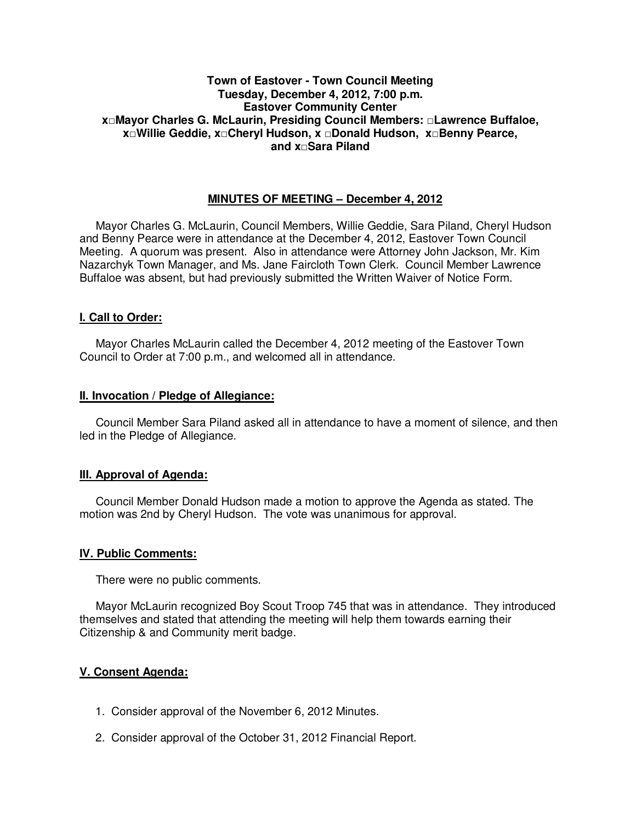## **Town of Eastover - Town Council Meeting Tuesday, December 4, 2012, 7:00 p.m. Eastover Community Center x□Mayor Charles G. McLaurin, Presiding Council Members: □Lawrence Buffaloe, x□Willie Geddie, x□Cheryl Hudson, x □Donald Hudson, x□Benny Pearce, and x□Sara Piland**

# **MINUTES OF MEETING – December 4, 2012**

Mayor Charles G. McLaurin, Council Members, Willie Geddie, Sara Piland, Cheryl Hudson and Benny Pearce were in attendance at the December 4, 2012, Eastover Town Council Meeting. A quorum was present. Also in attendance were Attorney John Jackson, Mr. Kim Nazarchyk Town Manager, and Ms. Jane Faircloth Town Clerk. Council Member Lawrence Buffaloe was absent, but had previously submitted the Written Waiver of Notice Form.

## **I. Call to Order:**

Mayor Charles McLaurin called the December 4, 2012 meeting of the Eastover Town Council to Order at 7:00 p.m., and welcomed all in attendance.

### **II. Invocation / Pledge of Allegiance:**

 Council Member Sara Piland asked all in attendance to have a moment of silence, and then led in the Pledge of Allegiance.

## **III. Approval of Agenda:**

 Council Member Donald Hudson made a motion to approve the Agenda as stated. The motion was 2nd by Cheryl Hudson. The vote was unanimous for approval.

## **IV. Public Comments:**

There were no public comments.

 Mayor McLaurin recognized Boy Scout Troop 745 that was in attendance. They introduced themselves and stated that attending the meeting will help them towards earning their Citizenship & and Community merit badge.

## **V. Consent Agenda:**

- 1. Consider approval of the November 6, 2012 Minutes.
- 2. Consider approval of the October 31, 2012 Financial Report.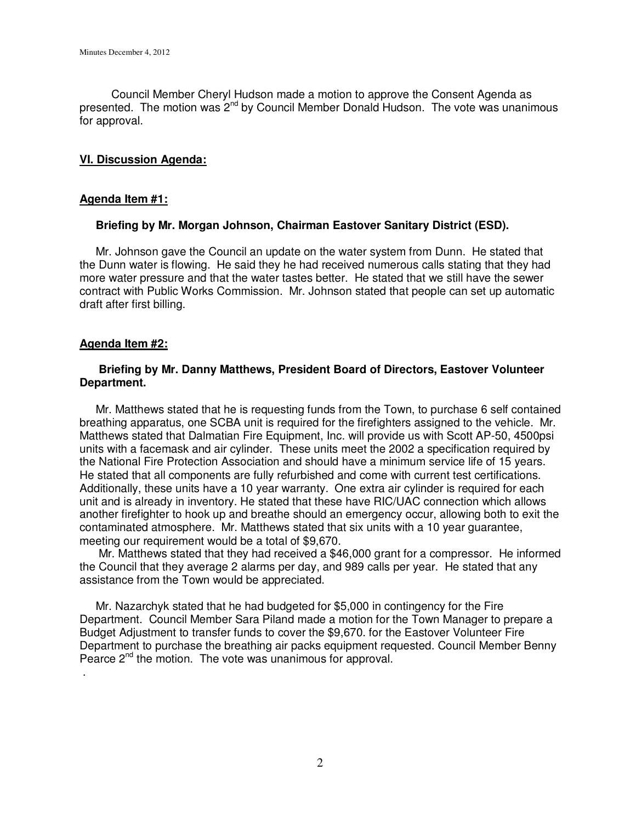Council Member Cheryl Hudson made a motion to approve the Consent Agenda as presented. The motion was 2<sup>nd</sup> by Council Member Donald Hudson. The vote was unanimous for approval.

## **VI. Discussion Agenda:**

## **Agenda Item #1:**

## **Briefing by Mr. Morgan Johnson, Chairman Eastover Sanitary District (ESD).**

Mr. Johnson gave the Council an update on the water system from Dunn. He stated that the Dunn water is flowing. He said they he had received numerous calls stating that they had more water pressure and that the water tastes better. He stated that we still have the sewer contract with Public Works Commission. Mr. Johnson stated that people can set up automatic draft after first billing.

## **Agenda Item #2:**

.

## **Briefing by Mr. Danny Matthews, President Board of Directors, Eastover Volunteer Department.**

 Mr. Matthews stated that he is requesting funds from the Town, to purchase 6 self contained breathing apparatus, one SCBA unit is required for the firefighters assigned to the vehicle. Mr. Matthews stated that Dalmatian Fire Equipment, Inc. will provide us with Scott AP-50, 4500psi units with a facemask and air cylinder. These units meet the 2002 a specification required by the National Fire Protection Association and should have a minimum service life of 15 years. He stated that all components are fully refurbished and come with current test certifications. Additionally, these units have a 10 year warranty. One extra air cylinder is required for each unit and is already in inventory. He stated that these have RIC/UAC connection which allows another firefighter to hook up and breathe should an emergency occur, allowing both to exit the contaminated atmosphere. Mr. Matthews stated that six units with a 10 year guarantee, meeting our requirement would be a total of \$9,670.

 Mr. Matthews stated that they had received a \$46,000 grant for a compressor. He informed the Council that they average 2 alarms per day, and 989 calls per year. He stated that any assistance from the Town would be appreciated.

 Mr. Nazarchyk stated that he had budgeted for \$5,000 in contingency for the Fire Department. Council Member Sara Piland made a motion for the Town Manager to prepare a Budget Adjustment to transfer funds to cover the \$9,670. for the Eastover Volunteer Fire Department to purchase the breathing air packs equipment requested. Council Member Benny Pearce  $2^{nd}$  the motion. The vote was unanimous for approval.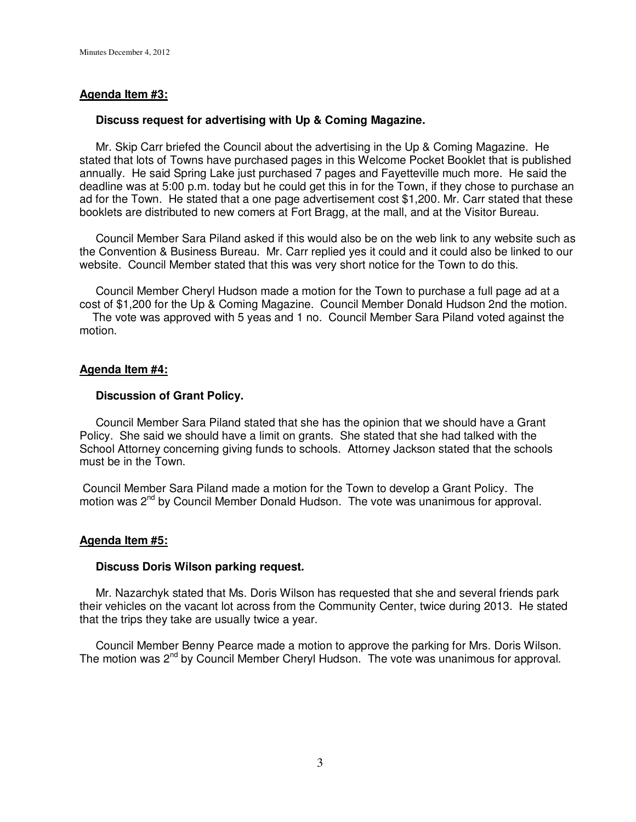## **Agenda Item #3:**

### **Discuss request for advertising with Up & Coming Magazine.**

 Mr. Skip Carr briefed the Council about the advertising in the Up & Coming Magazine. He stated that lots of Towns have purchased pages in this Welcome Pocket Booklet that is published annually. He said Spring Lake just purchased 7 pages and Fayetteville much more. He said the deadline was at 5:00 p.m. today but he could get this in for the Town, if they chose to purchase an ad for the Town. He stated that a one page advertisement cost \$1,200. Mr. Carr stated that these booklets are distributed to new comers at Fort Bragg, at the mall, and at the Visitor Bureau.

 Council Member Sara Piland asked if this would also be on the web link to any website such as the Convention & Business Bureau. Mr. Carr replied yes it could and it could also be linked to our website. Council Member stated that this was very short notice for the Town to do this.

 Council Member Cheryl Hudson made a motion for the Town to purchase a full page ad at a cost of \$1,200 for the Up & Coming Magazine. Council Member Donald Hudson 2nd the motion.

 The vote was approved with 5 yeas and 1 no. Council Member Sara Piland voted against the motion.

### **Agenda Item #4:**

### **Discussion of Grant Policy.**

 Council Member Sara Piland stated that she has the opinion that we should have a Grant Policy. She said we should have a limit on grants. She stated that she had talked with the School Attorney concerning giving funds to schools. Attorney Jackson stated that the schools must be in the Town.

 Council Member Sara Piland made a motion for the Town to develop a Grant Policy. The motion was 2<sup>nd</sup> by Council Member Donald Hudson. The vote was unanimous for approval.

#### **Agenda Item #5:**

### **Discuss Doris Wilson parking request.**

Mr. Nazarchyk stated that Ms. Doris Wilson has requested that she and several friends park their vehicles on the vacant lot across from the Community Center, twice during 2013. He stated that the trips they take are usually twice a year.

 Council Member Benny Pearce made a motion to approve the parking for Mrs. Doris Wilson. The motion was 2<sup>nd</sup> by Council Member Cheryl Hudson. The vote was unanimous for approval.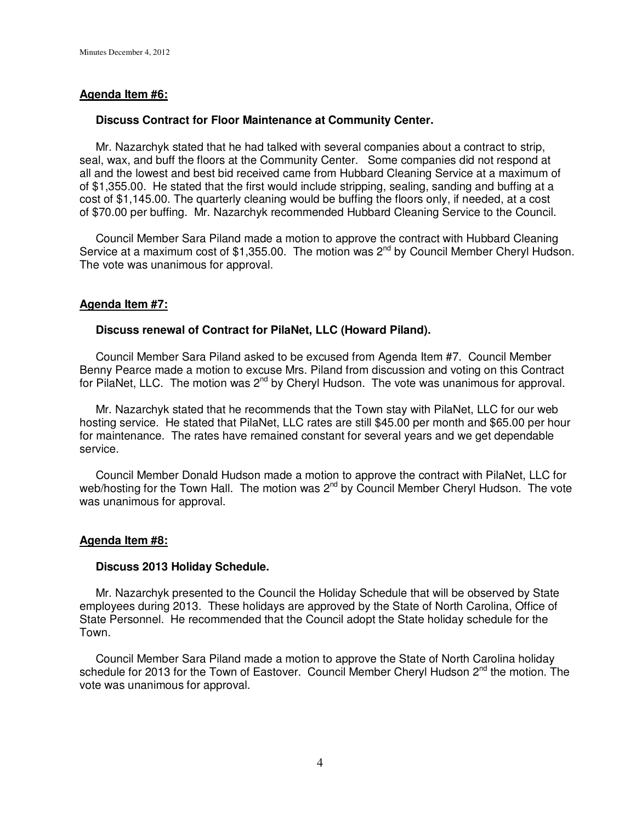## **Agenda Item #6:**

### **Discuss Contract for Floor Maintenance at Community Center.**

 Mr. Nazarchyk stated that he had talked with several companies about a contract to strip, seal, wax, and buff the floors at the Community Center. Some companies did not respond at all and the lowest and best bid received came from Hubbard Cleaning Service at a maximum of of \$1,355.00. He stated that the first would include stripping, sealing, sanding and buffing at a cost of \$1,145.00. The quarterly cleaning would be buffing the floors only, if needed, at a cost of \$70.00 per buffing. Mr. Nazarchyk recommended Hubbard Cleaning Service to the Council.

 Council Member Sara Piland made a motion to approve the contract with Hubbard Cleaning Service at a maximum cost of \$1,355.00. The motion was 2<sup>nd</sup> by Council Member Cheryl Hudson. The vote was unanimous for approval.

## **Agenda Item #7:**

## **Discuss renewal of Contract for PilaNet, LLC (Howard Piland).**

Council Member Sara Piland asked to be excused from Agenda Item #7. Council Member Benny Pearce made a motion to excuse Mrs. Piland from discussion and voting on this Contract for PilaNet, LLC. The motion was 2<sup>nd</sup> by Cheryl Hudson. The vote was unanimous for approval.

 Mr. Nazarchyk stated that he recommends that the Town stay with PilaNet, LLC for our web hosting service. He stated that PilaNet, LLC rates are still \$45.00 per month and \$65.00 per hour for maintenance. The rates have remained constant for several years and we get dependable service.

 Council Member Donald Hudson made a motion to approve the contract with PilaNet, LLC for web/hosting for the Town Hall. The motion was 2<sup>nd</sup> by Council Member Cheryl Hudson. The vote was unanimous for approval.

## **Agenda Item #8:**

#### **Discuss 2013 Holiday Schedule.**

 Mr. Nazarchyk presented to the Council the Holiday Schedule that will be observed by State employees during 2013. These holidays are approved by the State of North Carolina, Office of State Personnel. He recommended that the Council adopt the State holiday schedule for the Town.

 Council Member Sara Piland made a motion to approve the State of North Carolina holiday schedule for 2013 for the Town of Eastover. Council Member Cheryl Hudson  $2^{nd}$  the motion. The vote was unanimous for approval.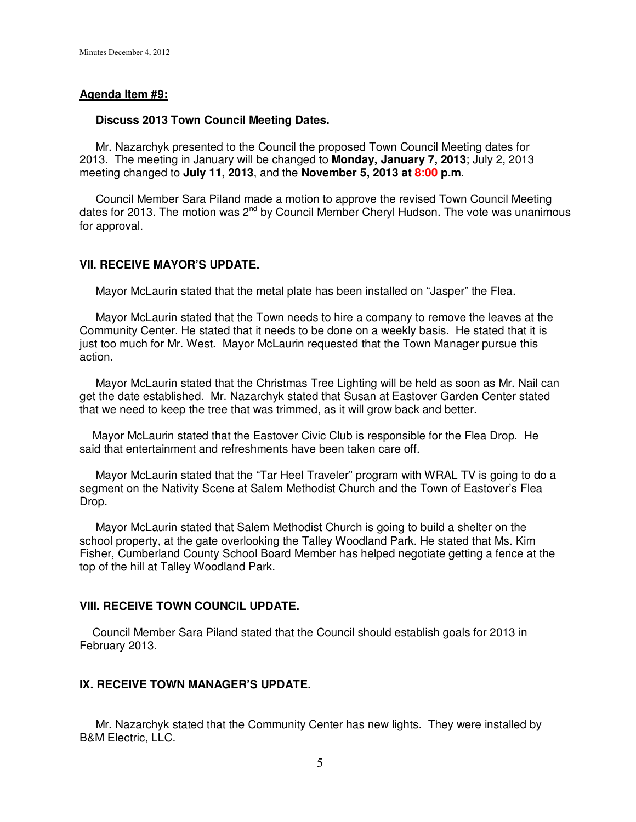### **Agenda Item #9:**

#### **Discuss 2013 Town Council Meeting Dates.**

 Mr. Nazarchyk presented to the Council the proposed Town Council Meeting dates for 2013. The meeting in January will be changed to **Monday, January 7, 2013**; July 2, 2013 meeting changed to **July 11, 2013**, and the **November 5, 2013 at 8:00 p.m**.

 Council Member Sara Piland made a motion to approve the revised Town Council Meeting dates for 2013. The motion was 2<sup>nd</sup> by Council Member Cheryl Hudson. The vote was unanimous for approval.

### **VII. RECEIVE MAYOR'S UPDATE.**

Mayor McLaurin stated that the metal plate has been installed on "Jasper" the Flea.

 Mayor McLaurin stated that the Town needs to hire a company to remove the leaves at the Community Center. He stated that it needs to be done on a weekly basis. He stated that it is just too much for Mr. West. Mayor McLaurin requested that the Town Manager pursue this action.

 Mayor McLaurin stated that the Christmas Tree Lighting will be held as soon as Mr. Nail can get the date established. Mr. Nazarchyk stated that Susan at Eastover Garden Center stated that we need to keep the tree that was trimmed, as it will grow back and better.

 Mayor McLaurin stated that the Eastover Civic Club is responsible for the Flea Drop. He said that entertainment and refreshments have been taken care off.

 Mayor McLaurin stated that the "Tar Heel Traveler" program with WRAL TV is going to do a segment on the Nativity Scene at Salem Methodist Church and the Town of Eastover's Flea Drop.

 Mayor McLaurin stated that Salem Methodist Church is going to build a shelter on the school property, at the gate overlooking the Talley Woodland Park. He stated that Ms. Kim Fisher, Cumberland County School Board Member has helped negotiate getting a fence at the top of the hill at Talley Woodland Park.

### **VIII. RECEIVE TOWN COUNCIL UPDATE.**

 Council Member Sara Piland stated that the Council should establish goals for 2013 in February 2013.

# **IX. RECEIVE TOWN MANAGER'S UPDATE.**

 Mr. Nazarchyk stated that the Community Center has new lights. They were installed by B&M Electric, LLC.